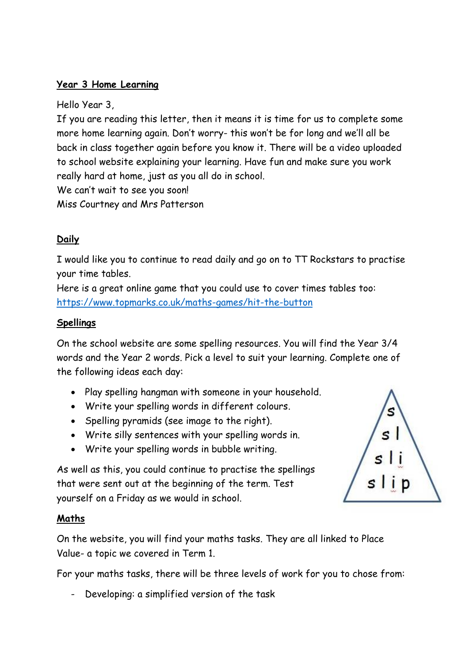## **Year 3 Home Learning**

Hello Year 3,

If you are reading this letter, then it means it is time for us to complete some more home learning again. Don't worry- this won't be for long and we'll all be back in class together again before you know it. There will be a video uploaded to school website explaining your learning. Have fun and make sure you work really hard at home, just as you all do in school.

We can't wait to see you soon!

Miss Courtney and Mrs Patterson

# **Daily**

I would like you to continue to read daily and go on to TT Rockstars to practise your time tables.

Here is a great online game that you could use to cover times tables too: <https://www.topmarks.co.uk/maths-games/hit-the-button>

### **Spellings**

On the school website are some spelling resources. You will find the Year 3/4 words and the Year 2 words. Pick a level to suit your learning. Complete one of the following ideas each day:

- Play spelling hangman with someone in your household.
- Write your spelling words in different colours.
- Spelling pyramids (see image to the right).
- Write silly sentences with your spelling words in.
- Write your spelling words in bubble writing.



As well as this, you could continue to practise the spellings that were sent out at the beginning of the term. Test yourself on a Friday as we would in school.

#### **Maths**

On the website, you will find your maths tasks. They are all linked to Place Value- a topic we covered in Term 1.

For your maths tasks, there will be three levels of work for you to chose from:

Developing: a simplified version of the task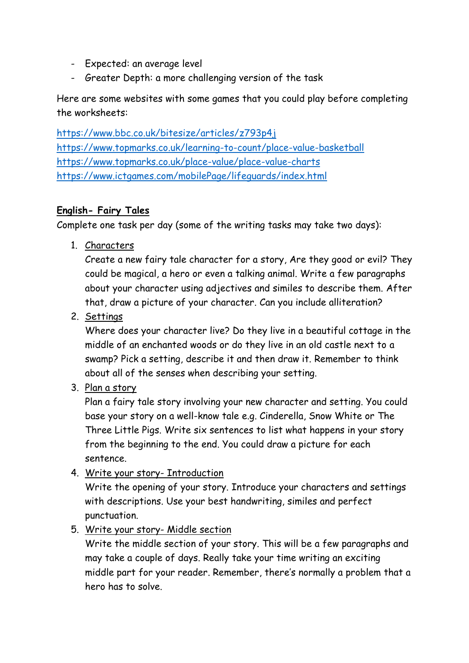- Expected: an average level
- Greater Depth: a more challenging version of the task

Here are some websites with some games that you could play before completing the worksheets:

<https://www.bbc.co.uk/bitesize/articles/z793p4j> <https://www.topmarks.co.uk/learning-to-count/place-value-basketball> <https://www.topmarks.co.uk/place-value/place-value-charts> <https://www.ictgames.com/mobilePage/lifeguards/index.html>

# **English- Fairy Tales**

Complete one task per day (some of the writing tasks may take two days):

1. Characters

Create a new fairy tale character for a story, Are they good or evil? They could be magical, a hero or even a talking animal. Write a few paragraphs about your character using adjectives and similes to describe them. After that, draw a picture of your character. Can you include alliteration?

2. Settings

Where does your character live? Do they live in a beautiful cottage in the middle of an enchanted woods or do they live in an old castle next to a swamp? Pick a setting, describe it and then draw it. Remember to think about all of the senses when describing your setting.

3. Plan a story

Plan a fairy tale story involving your new character and setting. You could base your story on a well-know tale e.g. Cinderella, Snow White or The Three Little Pigs. Write six sentences to list what happens in your story from the beginning to the end. You could draw a picture for each sentence.

4. Write your story- Introduction

Write the opening of your story. Introduce your characters and settings with descriptions. Use your best handwriting, similes and perfect punctuation.

5. Write your story- Middle section

Write the middle section of your story. This will be a few paragraphs and may take a couple of days. Really take your time writing an exciting middle part for your reader. Remember, there's normally a problem that a hero has to solve.